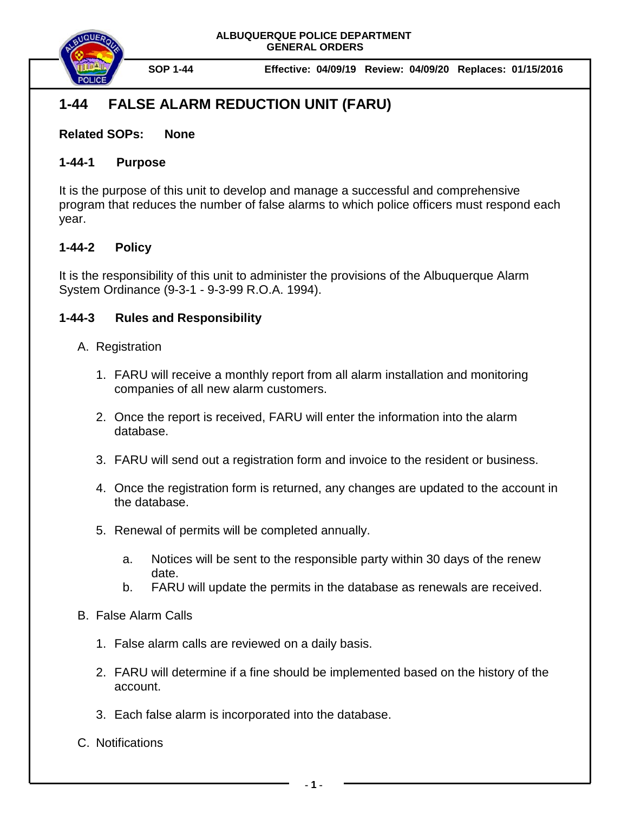



**SOP 1-44 Effective: 04/09/19 Review: 04/09/20 Replaces: 01/15/2016**

# **1-44 FALSE ALARM REDUCTION UNIT (FARU)**

**Related SOPs: None**

#### **1-44-1 Purpose**

It is the purpose of this unit to develop and manage a successful and comprehensive program that reduces the number of false alarms to which police officers must respond each year.

# **1-44-2 Policy**

It is the responsibility of this unit to administer the provisions of the Albuquerque Alarm System Ordinance (9-3-1 - 9-3-99 R.O.A. 1994).

# **1-44-3 Rules and Responsibility**

### A. Registration

- 1. FARU will receive a monthly report from all alarm installation and monitoring companies of all new alarm customers.
- 2. Once the report is received, FARU will enter the information into the alarm database.
- 3. FARU will send out a registration form and invoice to the resident or business.
- 4. Once the registration form is returned, any changes are updated to the account in the database.
- 5. Renewal of permits will be completed annually.
	- a. Notices will be sent to the responsible party within 30 days of the renew date.
	- b. FARU will update the permits in the database as renewals are received.
- B. False Alarm Calls
	- 1. False alarm calls are reviewed on a daily basis.
	- 2. FARU will determine if a fine should be implemented based on the history of the account.
	- 3. Each false alarm is incorporated into the database.
- C. Notifications